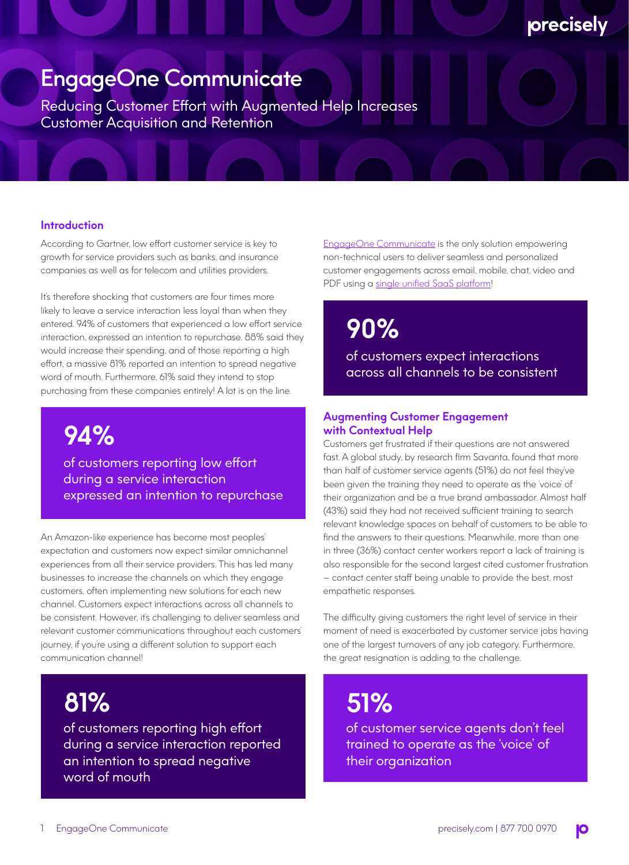### EngageOne Communicate

Reducing Customer Effort with Augmented Help Increases Customer Acquisition and Retention

#### **Introduction**

According to Gartner, low effort customer service is key to growth for service providers such as banks, and insurance companies as well as for telecom and utilities providers.

It's therefore shocking that customers are four times more likely to leave a service interaction less loyal than when they entered. 94% of customers that experienced a low effort service interaction, expressed an intention to repurchase. 88% said they would increase their spending, and of those reporting a high effort, a massive 81% reported an intention to spread negative word of mouth. Furthermore, 61% said they intend to stop purchasing from these companies entirely! A lot is on the line.

### **94%**

of customers reporting low effort during a service interaction expressed an intention to repurchase

An Amazon-like experience has become most peoples' expectation and customers now expect similar omnichannel experiences from all their service providers. This has led many businesses to increase the channels on which they engage customers, often implementing new solutions for each new channel. Customers expect interactions across all channels to be consistent. However, it's challenging to deliver seamless and relevant customer communications throughout each customers' journey, if you're using a different solution to support each communication channel!

### **81%**

of customers reporting high effort during a service interaction reported an intention to spread negative word of mouth

[EngageOne Communicate](https://www.precisely.com/product/engageone-communicate/engageone-communicate) is the only solution empowering non-technical users to deliver seamless and personalized customer engagements across email, mobile, chat, video and PDF using a [single unified SaaS platform!](https://youtu.be/riH21A5Sy9o)

precisely

**90%**

of customers expect interactions across all channels to be consistent

#### **Augmenting Customer Engagement with Contextual Help**

Customers get frustrated if their questions are not answered fast. A global study, by research firm Savanta, found that more than half of customer service agents (51%) do not feel they've been given the training they need to operate as the 'voice' of their organization and be a true brand ambassador. Almost half (43%) said they had not received sufficient training to search relevant knowledge spaces on behalf of customers to be able to find the answers to their questions. Meanwhile, more than one in three (36%) contact center workers report a lack of training is also responsible for the second largest cited customer frustration – contact center staff being unable to provide the best, most empathetic responses.

The difficulty giving customers the right level of service in their moment of need is exacerbated by customer service jobs having one of the largest turnovers of any job category. Furthermore, the great resignation is adding to the challenge.

## **51%**

of customer service agents don't feel trained to operate as the 'voice' of their organization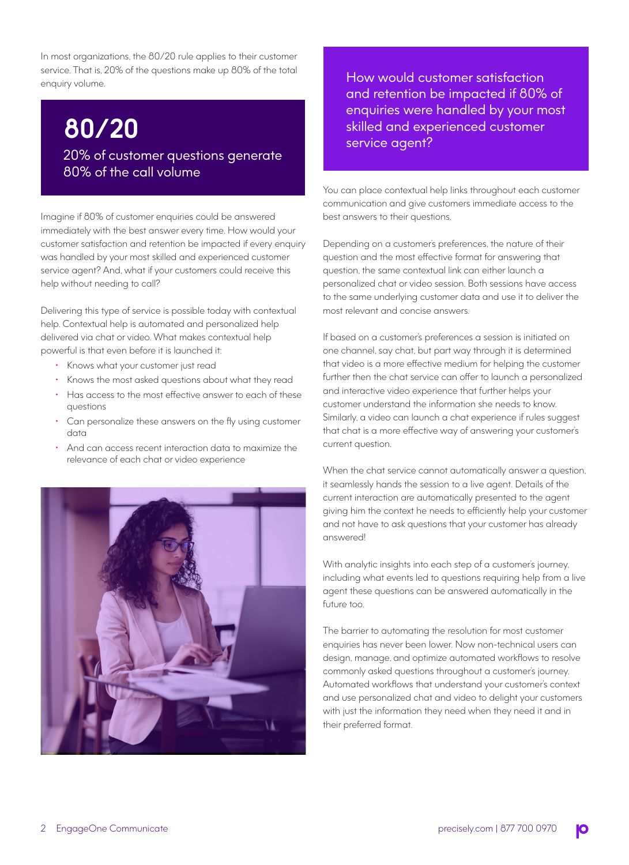In most organizations, the 80/20 rule applies to their customer service. That is, 20% of the questions make up 80% of the total enquiry volume.

## **80/20**

20% of customer questions generate 80% of the call volume

Imagine if 80% of customer enquiries could be answered immediately with the best answer every time. How would your customer satisfaction and retention be impacted if every enquiry was handled by your most skilled and experienced customer service agent? And, what if your customers could receive this help without needing to call?

Delivering this type of service is possible today with contextual help. Contextual help is automated and personalized help delivered via chat or video. What makes contextual help powerful is that even before it is launched it:

- Knows what your customer just read
- Knows the most asked questions about what they read
- Has access to the most effective answer to each of these questions
- Can personalize these answers on the fly using customer data
- And can access recent interaction data to maximize the relevance of each chat or video experience



How would customer satisfaction and retention be impacted if 80% of enquiries were handled by your most skilled and experienced customer service agent?

You can place contextual help links throughout each customer communication and give customers immediate access to the best answers to their questions.

Depending on a customer's preferences, the nature of their question and the most effective format for answering that question, the same contextual link can either launch a personalized chat or video session. Both sessions have access to the same underlying customer data and use it to deliver the most relevant and concise answers.

If based on a customer's preferences a session is initiated on one channel, say chat, but part way through it is determined that video is a more effective medium for helping the customer further then the chat service can offer to launch a personalized and interactive video experience that further helps your customer understand the information she needs to know. Similarly, a video can launch a chat experience if rules suggest that chat is a more effective way of answering your customer's current question.

When the chat service cannot automatically answer a question. it seamlessly hands the session to a live agent. Details of the current interaction are automatically presented to the agent giving him the context he needs to efficiently help your customer and not have to ask questions that your customer has already answered!

With analytic insights into each step of a customer's journey, including what events led to questions requiring help from a live agent these questions can be answered automatically in the future too.

The barrier to automating the resolution for most customer enquiries has never been lower. Now non-technical users can design, manage, and optimize automated workflows to resolve commonly asked questions throughout a customer's journey. Automated workflows that understand your customer's context and use personalized chat and video to delight your customers with just the information they need when they need it and in their preferred format.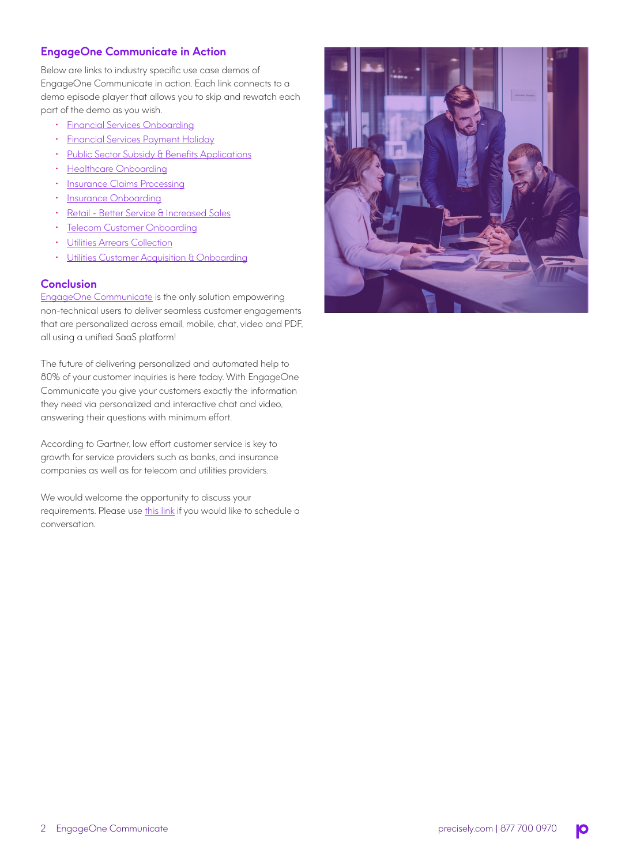### **EngageOne Communicate in Action**

Below are links to industry specific use case demos of EngageOne Communicate in action. Each link connects to a demo episode player that allows you to skip and rewatch each part of the demo as you wish.

- [Financial Services Onboarding](https://preview-us-east-1-mt-prod2.engageone.video/communicate_ep_finance_onboarding/embed-iframe.php)
- [Financial Services Payment Holiday](https://us-east-1-mt-preprod2.engageone.video/communicate_ep_finance_paymt_holiday/embed-iframe.php)
- [Public Sector Subsidy & Benefits Applications](https://preview-us-east-1-mt-prod2.engageone.video/communicate_ep_govt_subsidy/embed-iframe.php)
- [Healthcare Onboarding](https://preview-us-east-1-mt-prod2.engageone.video/communicate_ep_healthcare_onboarding/embed-iframe.php)
- [Insurance Claims Processing](https://preview-us-east-1-mt-prod2.engageone.video/communicate_ep_insurance_claims/embed-iframe.php)
- [Insurance Onboarding](https://preview-us-east-1-mt-prod2.engageone.video/communicate_ep_insurance_onboarding/embed-iframe.php)
- [Retail Better Service & Increased Sales](https://preview-us-east-1-mt-prod2.engageone.video/communicate_ep_retail_better_service/embed-iframe.php)
- **[Telecom Customer Onboarding](https://preview-us-east-1-mt-prod2.engageone.video/acmetel_onboarding_demo/embed-iframe.php)**
- [Utilities Arrears Collection](https://us-east-1-mt-preprod2.engageone.video/communicate_ep_utilities_arrears/embed-iframe.php)
- [Utilities Customer Acquisition & Onboarding](https://preview-us-east-1-mt-prod2.engageone.video/communicate_ep_utilities_onboarding/embed-iframe.php)

### **Conclusion**

[EngageOne Communicate](https://www.precisely.com/product/engageone-communicate/engageone-communicate) is the only solution empowering non-technical users to deliver seamless customer engagements that are personalized across email, mobile, chat, video and PDF, all using a unified SaaS platform!

The future of delivering personalized and automated help to 80% of your customer inquiries is here today. With EngageOne Communicate you give your customers exactly the information they need via personalized and interactive chat and video, answering their questions with minimum effort.

According to Gartner, low effort customer service is key to growth for service providers such as banks, and insurance companies as well as for telecom and utilities providers.

We would welcome the opportunity to discuss your requirements. Please use [this link](https://www.precisely.com/contact) if you would like to schedule a conversation.